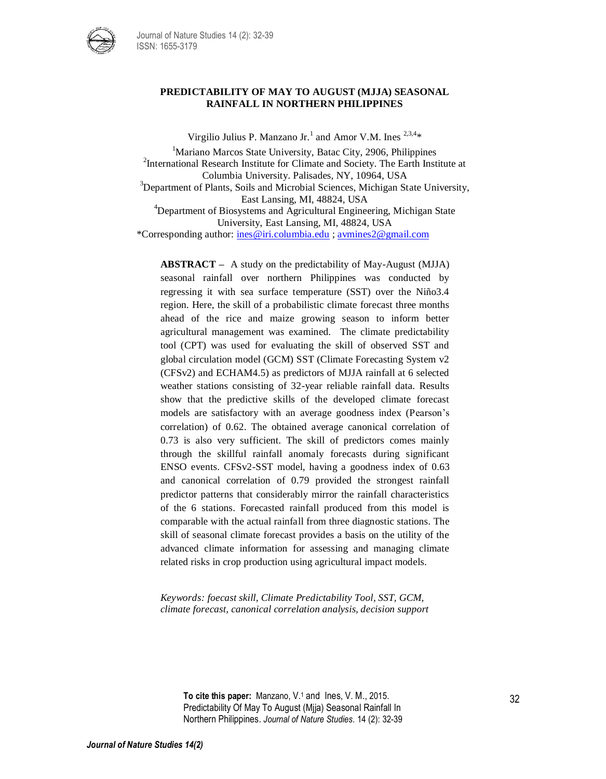

## **PREDICTABILITY OF MAY TO AUGUST (MJJA) SEASONAL RAINFALL IN NORTHERN PHILIPPINES**

Virgilio Julius P. Manzano Jr.<sup>1</sup> and Amor V.M. Ines  $2,3,4*$ 

<sup>1</sup>Mariano Marcos State University, Batac City, 2906, Philippines <sup>2</sup>International Research Institute for Climate and Society. The Earth Institute at Columbia University. Palisades, NY, 10964, USA <sup>3</sup>Department of Plants, Soils and Microbial Sciences, Michigan State University, East Lansing, MI, 48824, USA <sup>4</sup>Department of Biosystems and Agricultural Engineering, Michigan State University, East Lansing, MI, 48824, USA \*Corresponding author: [ines@iri.columbia.edu](mailto:ines@iri.columbia.edu) ; [avmines2@gmail.com](mailto:avmines2@gmail.com)

**ABSTRACT –** A study on the predictability of May-August (MJJA) seasonal rainfall over northern Philippines was conducted by regressing it with sea surface temperature (SST) over the Niño3.4 region. Here, the skill of a probabilistic climate forecast three months ahead of the rice and maize growing season to inform better agricultural management was examined. The climate predictability tool (CPT) was used for evaluating the skill of observed SST and global circulation model (GCM) SST (Climate Forecasting System v2 (CFSv2) and ECHAM4.5) as predictors of MJJA rainfall at 6 selected weather stations consisting of 32-year reliable rainfall data. Results show that the predictive skills of the developed climate forecast models are satisfactory with an average goodness index (Pearson's correlation) of 0.62. The obtained average canonical correlation of 0.73 is also very sufficient. The skill of predictors comes mainly through the skillful rainfall anomaly forecasts during significant ENSO events. CFSv2-SST model, having a goodness index of 0.63 and canonical correlation of 0.79 provided the strongest rainfall predictor patterns that considerably mirror the rainfall characteristics of the 6 stations. Forecasted rainfall produced from this model is comparable with the actual rainfall from three diagnostic stations. The skill of seasonal climate forecast provides a basis on the utility of the advanced climate information for assessing and managing climate related risks in crop production using agricultural impact models.

*Keywords: foecast skill, Climate Predictability Tool, SST, GCM, climate forecast, canonical correlation analysis, decision support*

**To cite this paper:** Manzano, V. <sup>1</sup> and Ines, V. M., 2015. Predictability Of May To August (Mjja) Seasonal Rainfall In Northern Philippines. *Journal of Nature Studies*. 14 (2): 32-39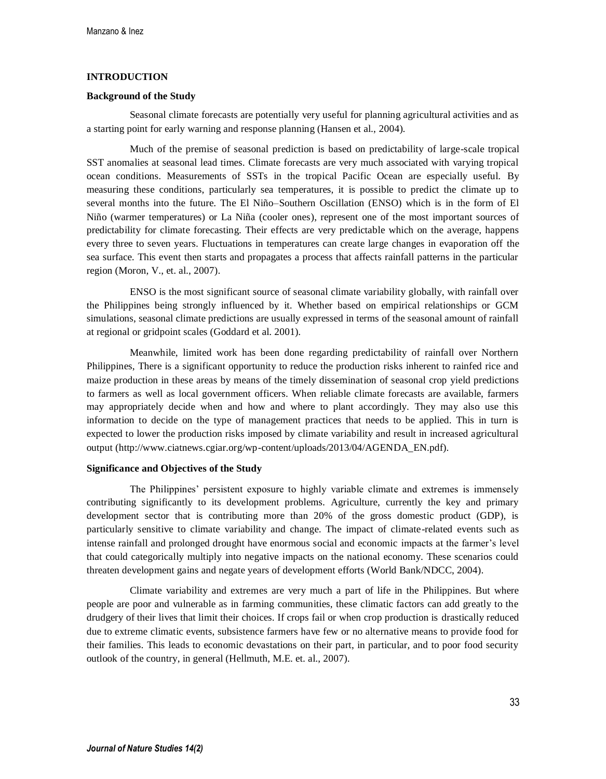# **INTRODUCTION**

#### **Background of the Study**

Seasonal climate forecasts are potentially very useful for planning agricultural activities and as a starting point for early warning and response planning (Hansen et al., 2004).

Much of the premise of seasonal prediction is based on predictability of large-scale tropical SST anomalies at seasonal lead times. Climate forecasts are very much associated with varying tropical ocean conditions. Measurements of SSTs in the tropical Pacific Ocean are especially useful. By measuring these conditions, particularly sea temperatures, it is possible to predict the climate up to several months into the future. The El Niño–Southern Oscillation (ENSO) which is in the form of El Niño (warmer temperatures) or La Niña (cooler ones), represent one of the most important sources of predictability for climate forecasting. Their effects are very predictable which on the average, happens every three to seven years. Fluctuations in temperatures can create large changes in evaporation off the sea surface. This event then starts and propagates a process that affects rainfall patterns in the particular region (Moron, V., et. al., 2007).

ENSO is the most significant source of seasonal climate variability globally, with rainfall over the Philippines being strongly influenced by it. Whether based on empirical relationships or GCM simulations, seasonal climate predictions are usually expressed in terms of the seasonal amount of rainfall at regional or gridpoint scales (Goddard et al. 2001).

Meanwhile, limited work has been done regarding predictability of rainfall over Northern Philippines, There is a significant opportunity to reduce the production risks inherent to rainfed rice and maize production in these areas by means of the timely dissemination of seasonal crop yield predictions to farmers as well as local government officers. When reliable climate forecasts are available, farmers may appropriately decide when and how and where to plant accordingly. They may also use this information to decide on the type of management practices that needs to be applied. This in turn is expected to lower the production risks imposed by climate variability and result in increased agricultural output (http://www.ciatnews.cgiar.org/wp-content/uploads/2013/04/AGENDA\_EN.pdf).

## **Significance and Objectives of the Study**

The Philippines' persistent exposure to highly variable climate and extremes is immensely contributing significantly to its development problems. Agriculture, currently the key and primary development sector that is contributing more than 20% of the gross domestic product (GDP), is particularly sensitive to climate variability and change. The impact of climate-related events such as intense rainfall and prolonged drought have enormous social and economic impacts at the farmer's level that could categorically multiply into negative impacts on the national economy. These scenarios could threaten development gains and negate years of development efforts (World Bank/NDCC, 2004).

Climate variability and extremes are very much a part of life in the Philippines. But where people are poor and vulnerable as in farming communities, these climatic factors can add greatly to the drudgery of their lives that limit their choices. If crops fail or when crop production is drastically reduced due to extreme climatic events, subsistence farmers have few or no alternative means to provide food for their families. This leads to economic devastations on their part, in particular, and to poor food security outlook of the country, in general (Hellmuth, M.E. et. al., 2007).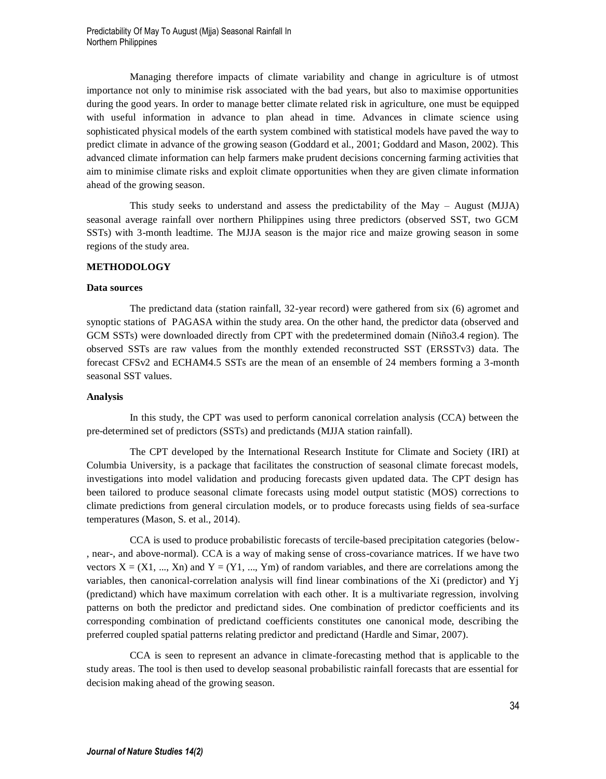Managing therefore impacts of climate variability and change in agriculture is of utmost importance not only to minimise risk associated with the bad years, but also to maximise opportunities during the good years. In order to manage better climate related risk in agriculture, one must be equipped with useful information in advance to plan ahead in time. Advances in climate science using sophisticated physical models of the earth system combined with statistical models have paved the way to predict climate in advance of the growing season (Goddard et al., 2001; Goddard and Mason, 2002). This advanced climate information can help farmers make prudent decisions concerning farming activities that aim to minimise climate risks and exploit climate opportunities when they are given climate information ahead of the growing season.

This study seeks to understand and assess the predictability of the May – August (MJJA) seasonal average rainfall over northern Philippines using three predictors (observed SST, two GCM SSTs) with 3-month leadtime. The MJJA season is the major rice and maize growing season in some regions of the study area.

### **METHODOLOGY**

#### **Data sources**

The predictand data (station rainfall, 32-year record) were gathered from six (6) agromet and synoptic stations of PAGASA within the study area. On the other hand, the predictor data (observed and GCM SSTs) were downloaded directly from CPT with the predetermined domain (Niño3.4 region). The observed SSTs are raw values from the monthly extended reconstructed SST (ERSSTv3) data. The forecast CFSv2 and ECHAM4.5 SSTs are the mean of an ensemble of 24 members forming a 3-month seasonal SST values.

#### **Analysis**

In this study, the CPT was used to perform canonical correlation analysis (CCA) between the pre-determined set of predictors (SSTs) and predictands (MJJA station rainfall).

The CPT developed by the International Research Institute for Climate and Society (IRI) at Columbia University, is a package that facilitates the construction of seasonal climate forecast models, investigations into model validation and producing forecasts given updated data. The CPT design has been tailored to produce seasonal climate forecasts using model output statistic (MOS) corrections to climate predictions from general circulation models, or to produce forecasts using fields of sea-surface temperatures (Mason, S. et al., 2014).

CCA is used to produce probabilistic forecasts of tercile-based precipitation categories (below- , near-, and above-normal). CCA is a way of making sense of cross-covariance matrices. If we have two vectors  $X = (X1, ..., Xn)$  and  $Y = (Y1, ..., Ym)$  of random variables, and there are correlations among the variables, then canonical-correlation analysis will find linear combinations of the Xi (predictor) and Yj (predictand) which have maximum correlation with each other. It is a multivariate regression, involving patterns on both the predictor and predictand sides. One combination of predictor coefficients and its corresponding combination of predictand coefficients constitutes one canonical mode, describing the preferred coupled spatial patterns relating predictor and predictand (Hardle and Simar, 2007).

CCA is seen to represent an advance in climate-forecasting method that is applicable to the study areas. The tool is then used to develop seasonal probabilistic rainfall forecasts that are essential for decision making ahead of the growing season.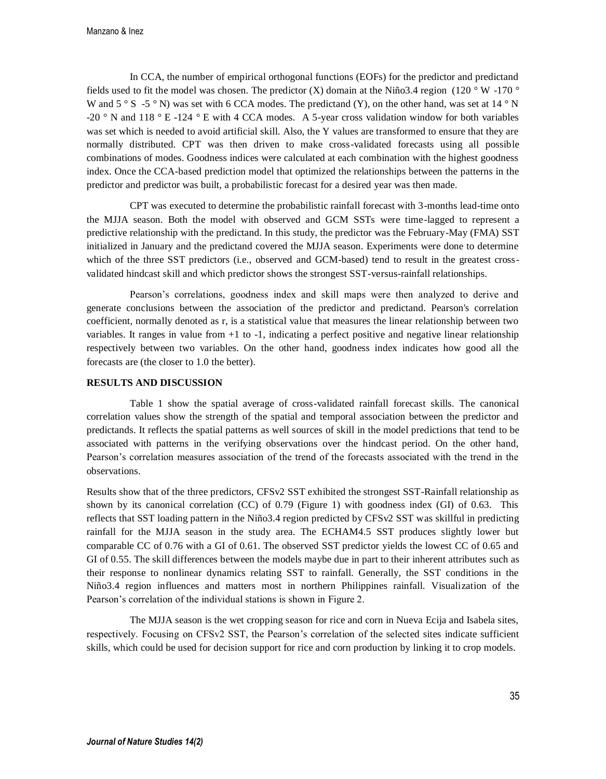In CCA, the number of empirical orthogonal functions (EOFs) for the predictor and predictand fields used to fit the model was chosen. The predictor  $(X)$  domain at the Niño3.4 region (120 ° W -170 ° W and  $5 \degree S$  -5  $\degree N$ ) was set with 6 CCA modes. The predictand (Y), on the other hand, was set at 14  $\degree N$ -20 ° N and 118 ° E -124 ° E with 4 CCA modes. A 5-year cross validation window for both variables was set which is needed to avoid artificial skill. Also, the Y values are transformed to ensure that they are normally distributed. CPT was then driven to make cross-validated forecasts using all possible combinations of modes. Goodness indices were calculated at each combination with the highest goodness index. Once the CCA-based prediction model that optimized the relationships between the patterns in the predictor and predictor was built, a probabilistic forecast for a desired year was then made.

CPT was executed to determine the probabilistic rainfall forecast with 3-months lead-time onto the MJJA season. Both the model with observed and GCM SSTs were time-lagged to represent a predictive relationship with the predictand. In this study, the predictor was the February-May (FMA) SST initialized in January and the predictand covered the MJJA season. Experiments were done to determine which of the three SST predictors (i.e., observed and GCM-based) tend to result in the greatest crossvalidated hindcast skill and which predictor shows the strongest SST-versus-rainfall relationships.

Pearson's correlations, goodness index and skill maps were then analyzed to derive and generate conclusions between the association of the predictor and predictand. Pearson's correlation coefficient, normally denoted as r, is a statistical value that measures the linear relationship between two variables. It ranges in value from +1 to -1, indicating a perfect positive and negative linear relationship respectively between two variables. On the other hand, goodness index indicates how good all the forecasts are (the closer to 1.0 the better).

### **RESULTS AND DISCUSSION**

Table 1 show the spatial average of cross-validated rainfall forecast skills. The canonical correlation values show the strength of the spatial and temporal association between the predictor and predictands. It reflects the spatial patterns as well sources of skill in the model predictions that tend to be associated with patterns in the verifying observations over the hindcast period. On the other hand, Pearson's correlation measures association of the trend of the forecasts associated with the trend in the observations.

Results show that of the three predictors, CFSv2 SST exhibited the strongest SST-Rainfall relationship as shown by its canonical correlation (CC) of 0.79 (Figure 1) with goodness index (GI) of 0.63. This reflects that SST loading pattern in the Niño3.4 region predicted by CFSv2 SST was skillful in predicting rainfall for the MJJA season in the study area. The ECHAM4.5 SST produces slightly lower but comparable CC of 0.76 with a GI of 0.61. The observed SST predictor yields the lowest CC of 0.65 and GI of 0.55. The skill differences between the models maybe due in part to their inherent attributes such as their response to nonlinear dynamics relating SST to rainfall. Generally, the SST conditions in the Niño3.4 region influences and matters most in northern Philippines rainfall. Visualization of the Pearson's correlation of the individual stations is shown in Figure 2.

The MJJA season is the wet cropping season for rice and corn in Nueva Ecija and Isabela sites, respectively. Focusing on CFSv2 SST, the Pearson's correlation of the selected sites indicate sufficient skills, which could be used for decision support for rice and corn production by linking it to crop models.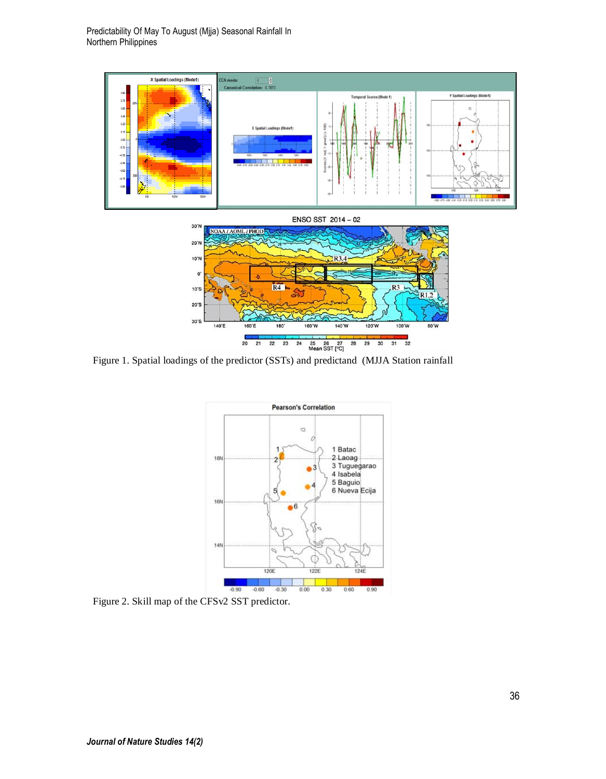

Figure 1. Spatial loadings of the predictor (SSTs) and predictand (MJJA Station rainfall



Figure 2. Skill map of the CFSv2 SST predictor.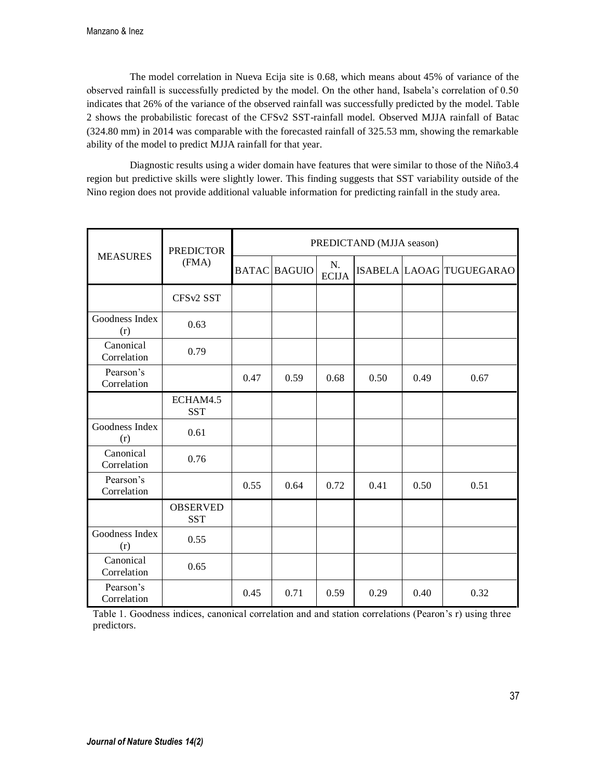The model correlation in Nueva Ecija site is 0.68, which means about 45% of variance of the observed rainfall is successfully predicted by the model. On the other hand, Isabela's correlation of 0.50 indicates that 26% of the variance of the observed rainfall was successfully predicted by the model. Table 2 shows the probabilistic forecast of the CFSv2 SST-rainfall model. Observed MJJA rainfall of Batac (324.80 mm) in 2014 was comparable with the forecasted rainfall of 325.53 mm, showing the remarkable ability of the model to predict MJJA rainfall for that year.

Diagnostic results using a wider domain have features that were similar to those of the Niño3.4 region but predictive skills were slightly lower. This finding suggests that SST variability outside of the Nino region does not provide additional valuable information for predicting rainfall in the study area.

| <b>MEASURES</b>          | <b>PREDICTOR</b><br>(FMA)     | PREDICTAND (MJJA season) |                     |                    |      |      |                          |  |
|--------------------------|-------------------------------|--------------------------|---------------------|--------------------|------|------|--------------------------|--|
|                          |                               |                          | <b>BATAC BAGUIO</b> | N.<br><b>ECIJA</b> |      |      | ISABELA LAOAG TUGUEGARAO |  |
|                          | CFS <sub>v2</sub> SST         |                          |                     |                    |      |      |                          |  |
| Goodness Index<br>(r)    | 0.63                          |                          |                     |                    |      |      |                          |  |
| Canonical<br>Correlation | 0.79                          |                          |                     |                    |      |      |                          |  |
| Pearson's<br>Correlation |                               | 0.47                     | 0.59                | 0.68               | 0.50 | 0.49 | 0.67                     |  |
|                          | ECHAM4.5<br><b>SST</b>        |                          |                     |                    |      |      |                          |  |
| Goodness Index<br>(r)    | 0.61                          |                          |                     |                    |      |      |                          |  |
| Canonical<br>Correlation | 0.76                          |                          |                     |                    |      |      |                          |  |
| Pearson's<br>Correlation |                               | 0.55                     | 0.64                | 0.72               | 0.41 | 0.50 | 0.51                     |  |
|                          | <b>OBSERVED</b><br><b>SST</b> |                          |                     |                    |      |      |                          |  |
| Goodness Index<br>(r)    | 0.55                          |                          |                     |                    |      |      |                          |  |
| Canonical<br>Correlation | 0.65                          |                          |                     |                    |      |      |                          |  |
| Pearson's<br>Correlation |                               | 0.45                     | 0.71                | 0.59               | 0.29 | 0.40 | 0.32                     |  |

Table 1. Goodness indices, canonical correlation and and station correlations (Pearon's r) using three predictors.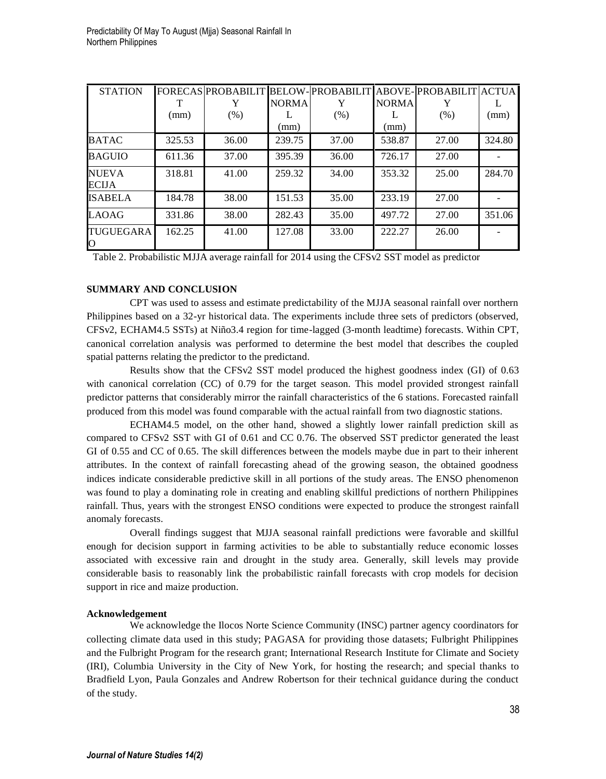| <b>STATION</b>        |        |       |              |       |              | FORECAS PROBABILIT BELOW-PROBABILIT ABOVE-PROBABILIT ACTUA |        |
|-----------------------|--------|-------|--------------|-------|--------------|------------------------------------------------------------|--------|
|                       |        |       | <b>NORMA</b> | Y     | <b>NORMA</b> |                                                            |        |
|                       | (mm)   | (% )  |              | (% )  |              | (% )                                                       | (mm)   |
|                       |        |       | (mm)         |       | (mm)         |                                                            |        |
| <b>BATAC</b>          | 325.53 | 36.00 | 239.75       | 37.00 | 538.87       | 27.00                                                      | 324.80 |
| <b>BAGUIO</b>         | 611.36 | 37.00 | 395.39       | 36.00 | 726.17       | 27.00                                                      |        |
| <b>NUEVA</b><br>ECIJA | 318.81 | 41.00 | 259.32       | 34.00 | 353.32       | 25.00                                                      | 284.70 |
| <b>ISABELA</b>        | 184.78 | 38.00 | 151.53       | 35.00 | 233.19       | 27.00                                                      |        |
| <b>LAOAG</b>          | 331.86 | 38.00 | 282.43       | 35.00 | 497.72       | 27.00                                                      | 351.06 |
| TUGUEGARA<br>Ю        | 162.25 | 41.00 | 127.08       | 33.00 | 222.27       | 26.00                                                      |        |

Table 2. Probabilistic MJJA average rainfall for 2014 using the CFSv2 SST model as predictor

## **SUMMARY AND CONCLUSION**

CPT was used to assess and estimate predictability of the MJJA seasonal rainfall over northern Philippines based on a 32-yr historical data. The experiments include three sets of predictors (observed, CFSv2, ECHAM4.5 SSTs) at Niño3.4 region for time-lagged (3-month leadtime) forecasts. Within CPT, canonical correlation analysis was performed to determine the best model that describes the coupled spatial patterns relating the predictor to the predictand.

Results show that the CFSv2 SST model produced the highest goodness index (GI) of 0.63 with canonical correlation (CC) of 0.79 for the target season. This model provided strongest rainfall predictor patterns that considerably mirror the rainfall characteristics of the 6 stations. Forecasted rainfall produced from this model was found comparable with the actual rainfall from two diagnostic stations.

ECHAM4.5 model, on the other hand, showed a slightly lower rainfall prediction skill as compared to CFSv2 SST with GI of 0.61 and CC 0.76. The observed SST predictor generated the least GI of 0.55 and CC of 0.65. The skill differences between the models maybe due in part to their inherent attributes. In the context of rainfall forecasting ahead of the growing season, the obtained goodness indices indicate considerable predictive skill in all portions of the study areas. The ENSO phenomenon was found to play a dominating role in creating and enabling skillful predictions of northern Philippines rainfall. Thus, years with the strongest ENSO conditions were expected to produce the strongest rainfall anomaly forecasts.

Overall findings suggest that MJJA seasonal rainfall predictions were favorable and skillful enough for decision support in farming activities to be able to substantially reduce economic losses associated with excessive rain and drought in the study area. Generally, skill levels may provide considerable basis to reasonably link the probabilistic rainfall forecasts with crop models for decision support in rice and maize production.

### **Acknowledgement**

We acknowledge the Ilocos Norte Science Community (INSC) partner agency coordinators for collecting climate data used in this study; PAGASA for providing those datasets; Fulbright Philippines and the Fulbright Program for the research grant; International Research Institute for Climate and Society (IRI), Columbia University in the City of New York, for hosting the research; and special thanks to Bradfield Lyon, Paula Gonzales and Andrew Robertson for their technical guidance during the conduct of the study.